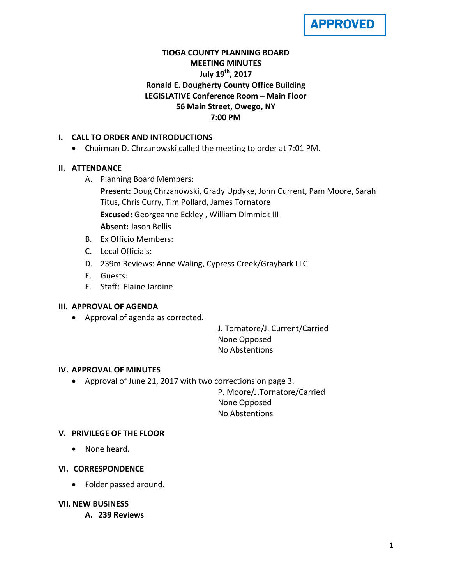

## **TIOGA COUNTY PLANNING BOARD MEETING MINUTES July 19th, 2017 Ronald E. Dougherty County Office Building LEGISLATIVE Conference Room – Main Floor 56 Main Street, Owego, NY 7:00 PM**

#### **I. CALL TO ORDER AND INTRODUCTIONS**

• Chairman D. Chrzanowski called the meeting to order at 7:01 PM.

#### **II. ATTENDANCE**

A. Planning Board Members:

**Present:** Doug Chrzanowski, Grady Updyke, John Current, Pam Moore, Sarah Titus, Chris Curry, Tim Pollard, James Tornatore **Excused:** Georgeanne Eckley , William Dimmick III **Absent:** Jason Bellis

- B. Ex Officio Members:
- C. Local Officials:
- D. 239m Reviews: Anne Waling, Cypress Creek/Graybark LLC
- E. Guests:
- F. Staff: Elaine Jardine

## **III. APPROVAL OF AGENDA**

• Approval of agenda as corrected.

J. Tornatore/J. Current/Carried None Opposed No Abstentions

#### **IV. APPROVAL OF MINUTES**

• Approval of June 21, 2017 with two corrections on page 3.

P. Moore/J.Tornatore/Carried None Opposed No Abstentions

#### **V. PRIVILEGE OF THE FLOOR**

• None heard.

#### **VI. CORRESPONDENCE**

• Folder passed around.

#### **VII. NEW BUSINESS**

**A. 239 Reviews**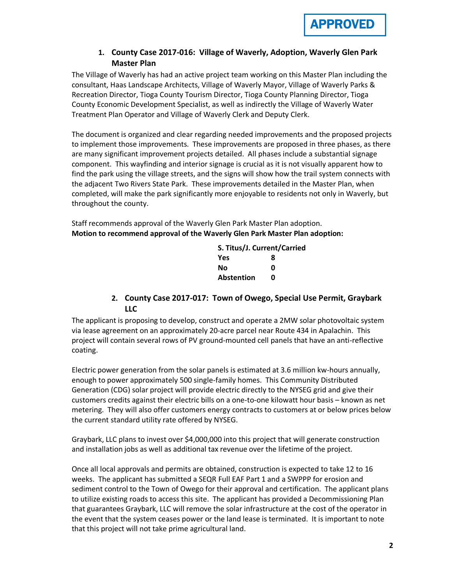

#### **1. County Case 2017-016: Village of Waverly, Adoption, Waverly Glen Park Master Plan**

The Village of Waverly has had an active project team working on this Master Plan including the consultant, Haas Landscape Architects, Village of Waverly Mayor, Village of Waverly Parks & Recreation Director, Tioga County Tourism Director, Tioga County Planning Director, Tioga County Economic Development Specialist, as well as indirectly the Village of Waverly Water Treatment Plan Operator and Village of Waverly Clerk and Deputy Clerk.

The document is organized and clear regarding needed improvements and the proposed projects to implement those improvements. These improvements are proposed in three phases, as there are many significant improvement projects detailed. All phases include a substantial signage component. This wayfinding and interior signage is crucial as it is not visually apparent how to find the park using the village streets, and the signs will show how the trail system connects with the adjacent Two Rivers State Park. These improvements detailed in the Master Plan, when completed, will make the park significantly more enjoyable to residents not only in Waverly, but throughout the county.

Staff recommends approval of the Waverly Glen Park Master Plan adoption. **Motion to recommend approval of the Waverly Glen Park Master Plan adoption:**

| S. Titus/J. Current/Carried |   |  |
|-----------------------------|---|--|
| Yes                         | 8 |  |
| Nο                          | ŋ |  |
| <b>Abstention</b>           | n |  |

#### **2. County Case 2017-017: Town of Owego, Special Use Permit, Graybark LLC**

The applicant is proposing to develop, construct and operate a 2MW solar photovoltaic system via lease agreement on an approximately 20-acre parcel near Route 434 in Apalachin. This project will contain several rows of PV ground-mounted cell panels that have an anti-reflective coating.

Electric power generation from the solar panels is estimated at 3.6 million kw-hours annually, enough to power approximately 500 single-family homes. This Community Distributed Generation (CDG) solar project will provide electric directly to the NYSEG grid and give their customers credits against their electric bills on a one-to-one kilowatt hour basis – known as net metering. They will also offer customers energy contracts to customers at or below prices below the current standard utility rate offered by NYSEG.

Graybark, LLC plans to invest over \$4,000,000 into this project that will generate construction and installation jobs as well as additional tax revenue over the lifetime of the project.

Once all local approvals and permits are obtained, construction is expected to take 12 to 16 weeks. The applicant has submitted a SEQR Full EAF Part 1 and a SWPPP for erosion and sediment control to the Town of Owego for their approval and certification. The applicant plans to utilize existing roads to access this site. The applicant has provided a Decommissioning Plan that guarantees Graybark, LLC will remove the solar infrastructure at the cost of the operator in the event that the system ceases power or the land lease is terminated. It is important to note that this project will not take prime agricultural land.